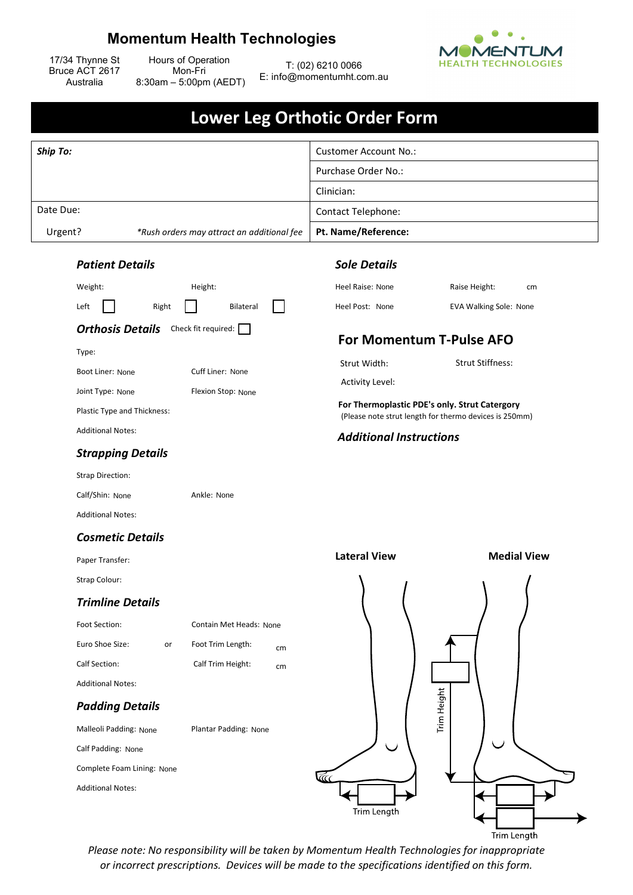## **Momentum Health Technologies**



17/34 Thynne St Bruce ACT 2617 Australia

Hours of Operation Mon-Fri 8:30am – 5:00pm (AEDT)

T: (02) 6210 0066 E: info@momentumht.com.au

# **Lower Leg Orthotic Order Form**

| <b>Ship To:</b> |                                            | Customer Account No.:     |
|-----------------|--------------------------------------------|---------------------------|
|                 |                                            | Purchase Order No.:       |
|                 |                                            | Clinician:                |
| Date Due:       |                                            | <b>Contact Telephone:</b> |
| Urgent?         | *Rush orders may attract an additional fee | Pt. Name/Reference:       |

#### *Patient Details*

#### *Sole Details*

| Weight:                     | Height:                       | Heel Raise: None               | Raise Height:<br>cm                                                                                     |
|-----------------------------|-------------------------------|--------------------------------|---------------------------------------------------------------------------------------------------------|
| Left<br>Right               | Bilateral                     | Heel Post: None                | <b>EVA Walking Sole: None</b>                                                                           |
| <b>Orthosis Details</b>     | Check fit required: [         |                                | <b>For Momentum T-Pulse AFO</b>                                                                         |
| Type:                       |                               |                                |                                                                                                         |
| Boot Liner: None            | Cuff Liner: None              | Strut Width:                   | <b>Strut Stiffness:</b>                                                                                 |
| Joint Type: None            | Flexion Stop: None            | <b>Activity Level:</b>         |                                                                                                         |
| Plastic Type and Thickness: |                               |                                | For Thermoplastic PDE's only. Strut Catergory<br>(Please note strut length for thermo devices is 250mm) |
| <b>Additional Notes:</b>    |                               | <b>Additional Instructions</b> |                                                                                                         |
| <b>Strapping Details</b>    |                               |                                |                                                                                                         |
| <b>Strap Direction:</b>     |                               |                                |                                                                                                         |
| Calf/Shin: None             | Ankle: None                   |                                |                                                                                                         |
| <b>Additional Notes:</b>    |                               |                                |                                                                                                         |
| <b>Cosmetic Details</b>     |                               |                                |                                                                                                         |
| Paper Transfer:             |                               | <b>Lateral View</b>            | <b>Medial View</b>                                                                                      |
| Strap Colour:               |                               |                                |                                                                                                         |
| <b>Trimline Details</b>     |                               |                                |                                                                                                         |
| Foot Section:               | Contain Met Heads: None       |                                |                                                                                                         |
| Euro Shoe Size:             | Foot Trim Length:<br>or<br>cm |                                |                                                                                                         |
| Calf Section:               | Calf Trim Height:<br>cm       |                                |                                                                                                         |
| <b>Additional Notes:</b>    |                               |                                |                                                                                                         |
| <b>Padding Details</b>      |                               |                                | Trim Height                                                                                             |
| Malleoli Padding: None      | Plantar Padding: None         |                                |                                                                                                         |
| Calf Padding: None          |                               |                                |                                                                                                         |
| Complete Foam Lining: None  |                               |                                |                                                                                                         |
| <b>Additional Notes:</b>    |                               |                                |                                                                                                         |

*Please note: No responsibility will be taken by Momentum Health Technologies for inappropriate or incorrect prescriptions. Devices will be made to the specifications identified on this form.*

Trim Length

**Trim Length**